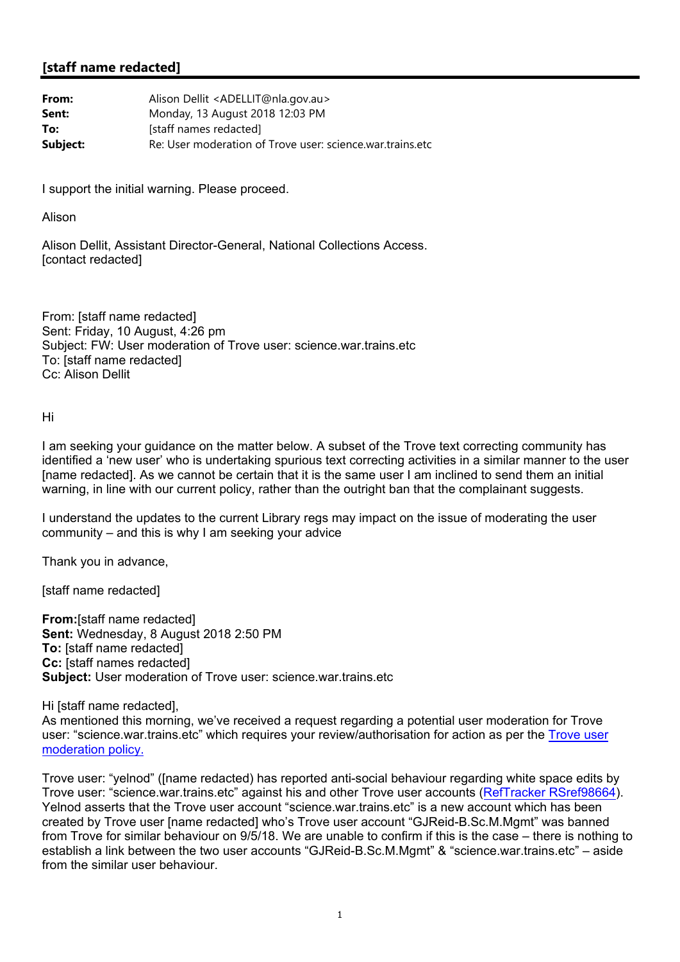## **[staff name redacted]**

| From:    | Alison Dellit <adellit@nla.gov.au></adellit@nla.gov.au>   |
|----------|-----------------------------------------------------------|
| Sent:    | Monday, 13 August 2018 12:03 PM                           |
| To:      | [staff names redacted]                                    |
| Subject: | Re: User moderation of Trove user: science.war.trains.etc |

I support the initial warning. Please proceed.

Alison

Alison Dellit, Assistant Director-General, National Collections Access. [contact redacted]

From: [staff name redacted] Sent: Friday, 10 August, 4:26 pm Subject: FW: User moderation of Trove user: science.war.trains.etc To: [staff name redacted] Cc: Alison Dellit

Hi

I am seeking your guidance on the matter below. A subset of the Trove text correcting community has identified a 'new user' who is undertaking spurious text correcting activities in a similar manner to the user [name redacted]. As we cannot be certain that it is the same user I am inclined to send them an initial warning, in line with our current policy, rather than the outright ban that the complainant suggests.

I understand the updates to the current Library regs may impact on the issue of moderating the user community – and this is why I am seeking your advice

Thank you in advance,

[staff name redacted]

**From:**[staff name redacted] **Sent:** Wednesday, 8 August 2018 2:50 PM **To:** [staff name redacted] **Cc:** [staff names redacted] **Subject:** User moderation of Trove user: science.war.trains.etc

Hi [staff name redacted], As mentioned this morning, we've received a request regarding a potential user moderation for Trove user: "science.war.trains.etc" which requires your review/authorisation for action as per the Trove user moderation policy.

Trove user: "yelnod" ([name redacted) has reported anti-social behaviour regarding white space edits by Trove user: "science.war.trains.etc" against his and other Trove user accounts (RefTracker RSref98664). Yelnod asserts that the Trove user account "science war trains etc" is a new account which has been created by Trove user [name redacted] who's Trove user account "GJReid-B.Sc.M.Mgmt" was banned from Trove for similar behaviour on 9/5/18. We are unable to confirm if this is the case – there is nothing to establish a link between the two user accounts "GJReid-B.Sc.M.Mgmt" & "science.war.trains.etc" – aside from the similar user behaviour.